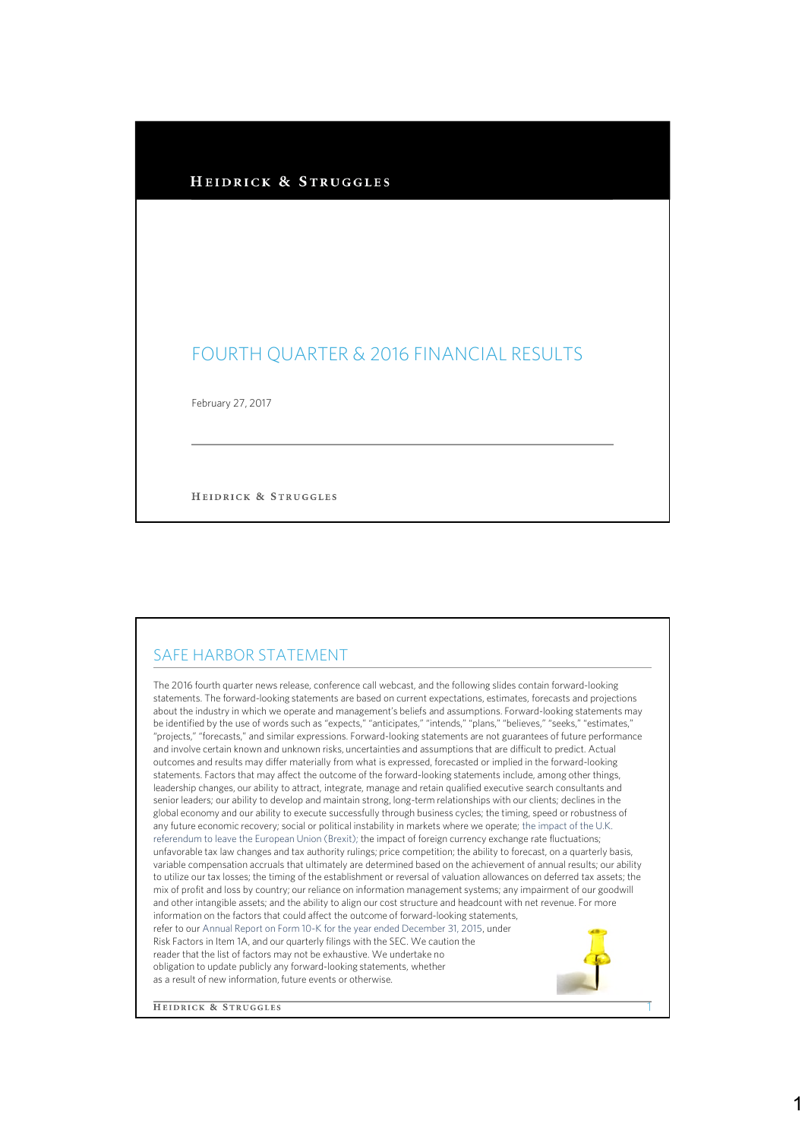| HEIDRICK & STRUGGLES |  |
|----------------------|--|
|----------------------|--|

## FOURTH QUARTER & 2016 FINANCIAL RESULTS

February 27, 2017

HEIDRICK & STRUGGLES

## SAFE HARBOR STATEMENT

The 2016 fourth quarter news release, conference call webcast, and the following slides contain forward-looking statements. The forward-looking statements are based on current expectations, estimates, forecasts and projections about the industry in which we operate and management's beliefs and assumptions. Forward-looking statements may be identified by the use of words such as "expects," "anticipates," "intends," "plans," "believes," "seeks," "estimates," "projects," "forecasts," and similar expressions. Forward-looking statements are not guarantees of future performance and involve certain known and unknown risks, uncertainties and assumptions that are difficult to predict. Actual outcomes and results may differ materially from what is expressed, forecasted or implied in the forward-looking statements. Factors that may affect the outcome of the forward-looking statements include, among other things, leadership changes, our ability to attract, integrate, manage and retain qualified executive search consultants and senior leaders; our ability to develop and maintain strong, long-term relationships with our clients; declines in the global economy and our ability to execute successfully through business cycles; the timing, speed or robustness of any future economic recovery; social or political instability in markets where we operate; the impact of the U.K. referendum to leave the European Union (Brexit); the impact of foreign currency exchange rate fluctuations; unfavorable tax law changes and tax authority rulings; price competition; the ability to forecast, on a quarterly basis, variable compensation accruals that ultimately are determined based on the achievement of annual results; our ability to utilize our tax losses; the timing of the establishment or reversal of valuation allowances on deferred tax assets; the mix of profit and loss by country; our reliance on information management systems; any impairment of our goodwill and other intangible assets; and the ability to align our cost structure and headcount with net revenue. For more information on the factors that could affect the outcome of forward-looking statements, refer to our Annual Report on Form 10-K for the year ended December 31, 2015, under Risk Factors in Item 1A, and our quarterly filings with the SEC. We caution the reader that the list of factors may not be exhaustive. We undertake no obligation to update publicly any forward-looking statements, whether as a result of new information, future events or otherwise.

**HEIDRICK & STRUGGLES** 

1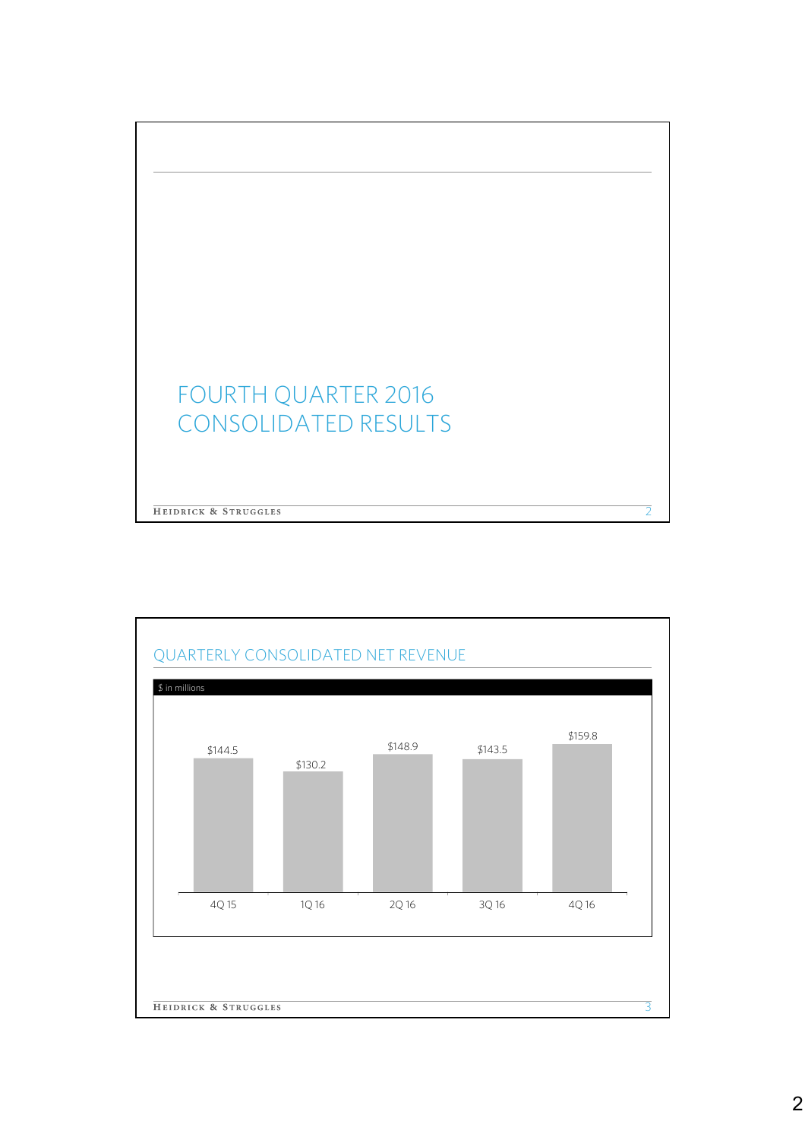

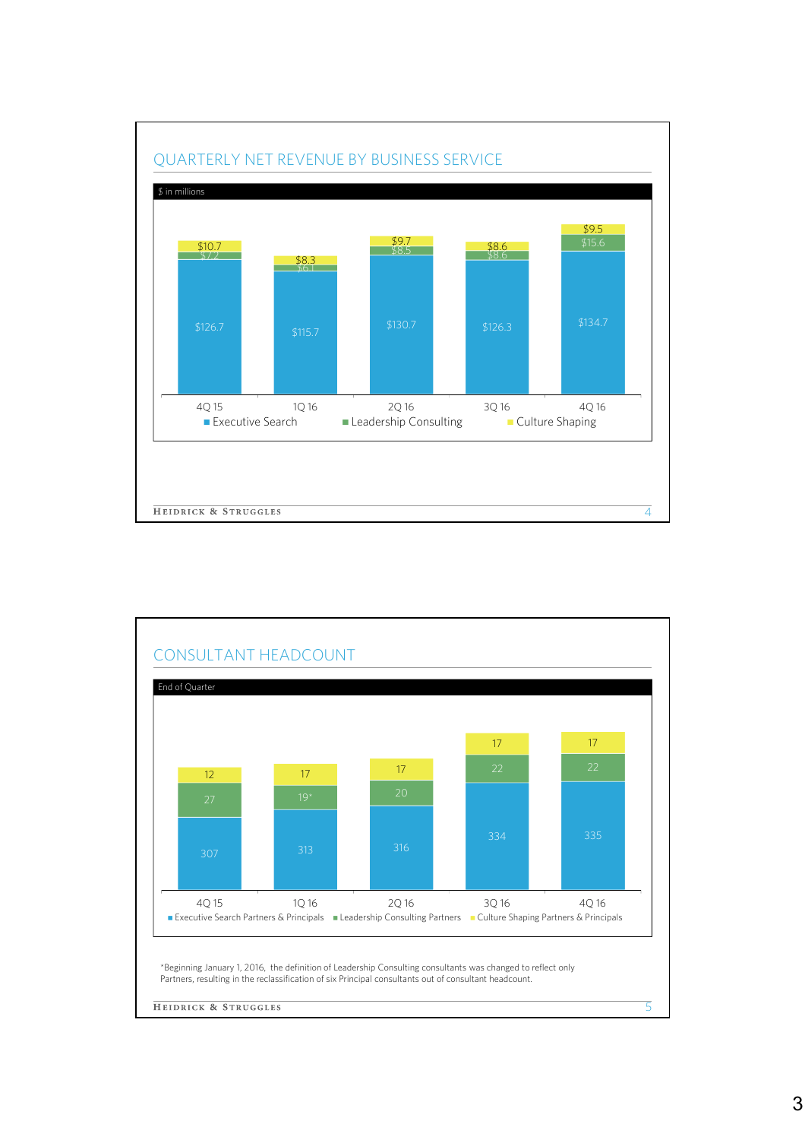

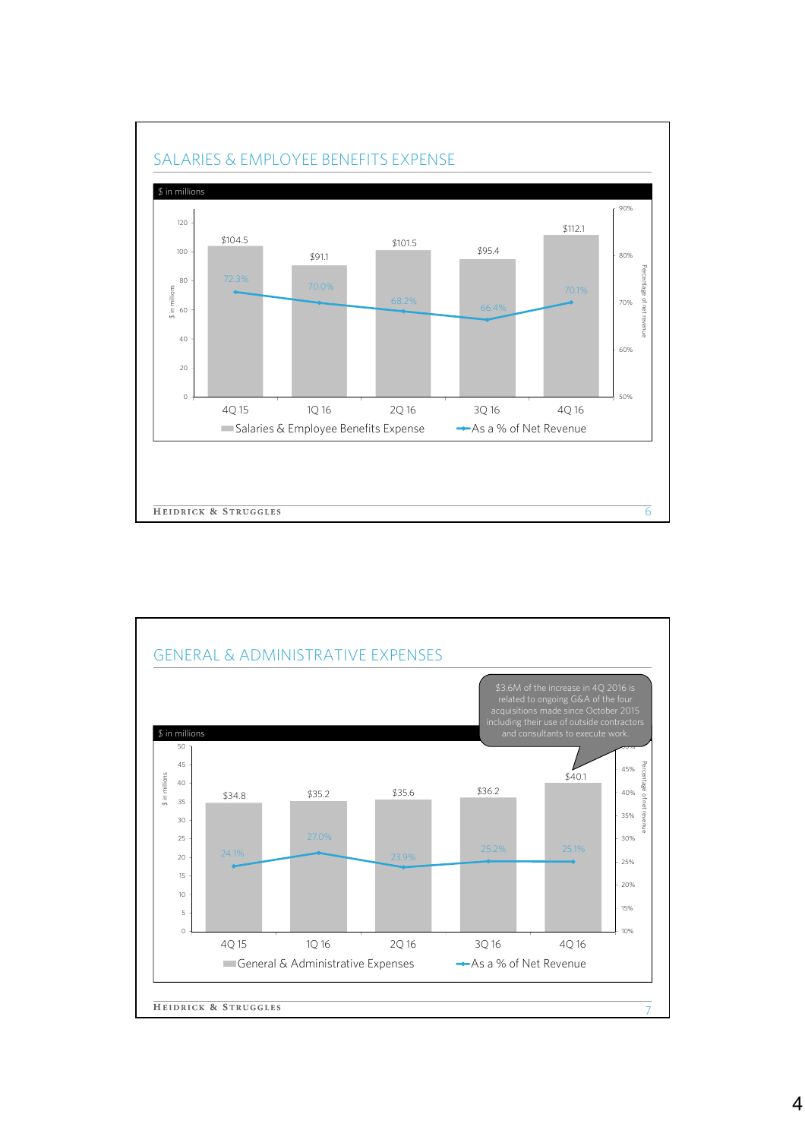

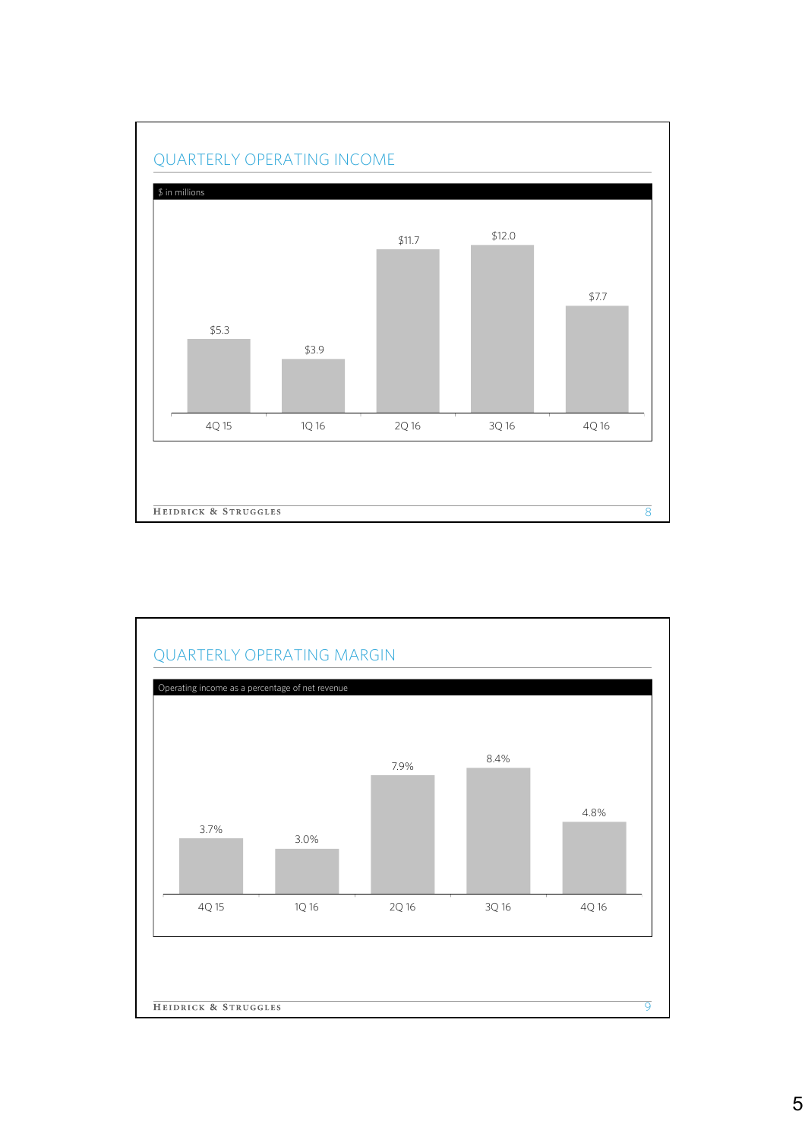

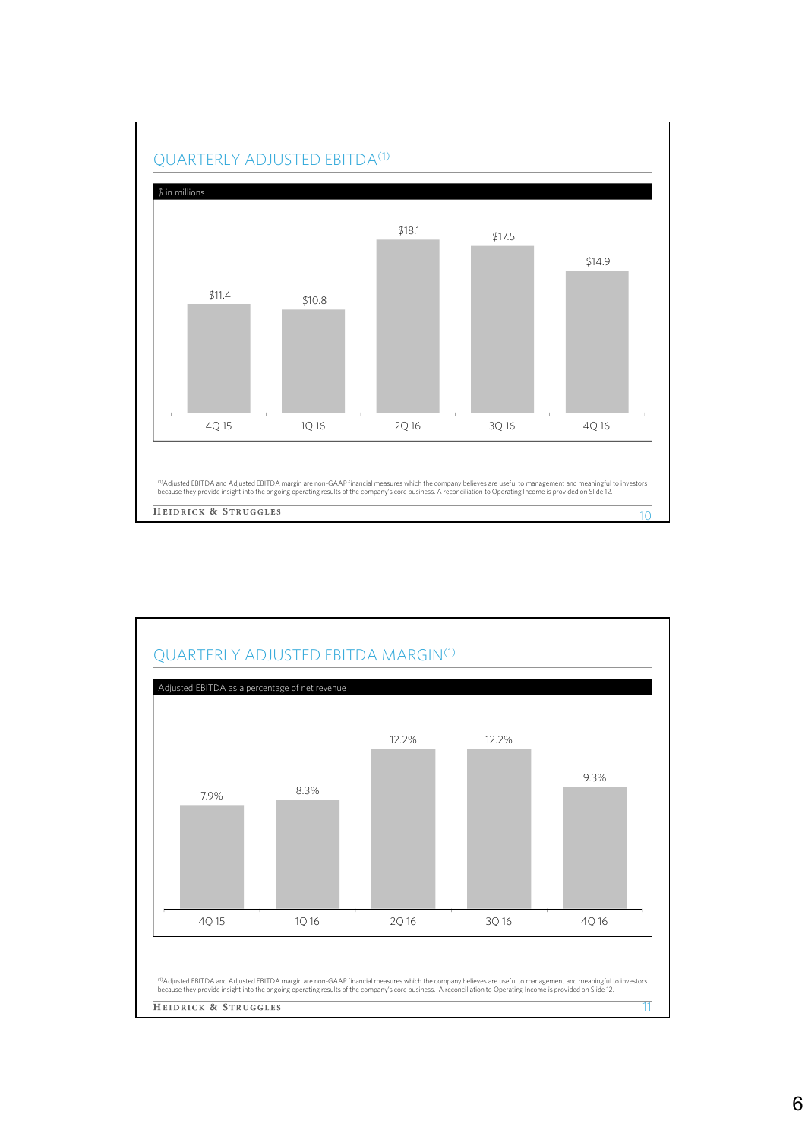

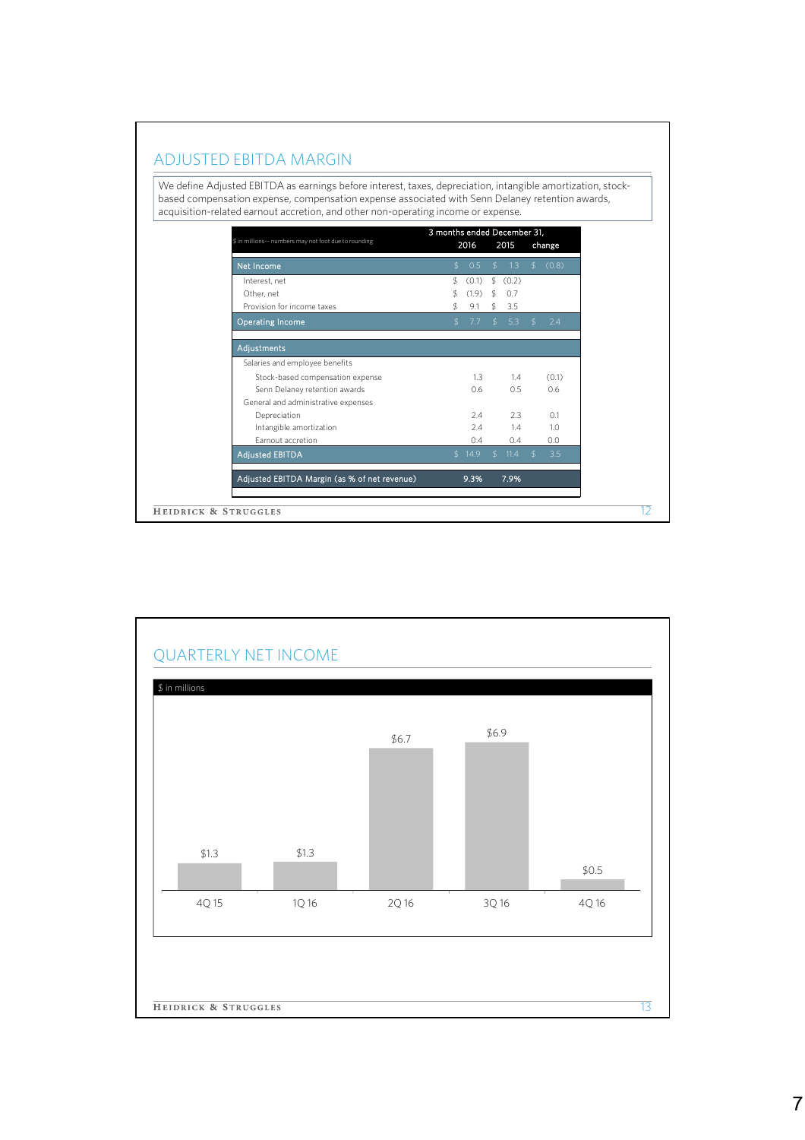## ADJUSTED EBITDA MARGIN

We define Adjusted EBITDA as earnings before interest, taxes, depreciation, intangible amortization, stockbased compensation expense, compensation expense associated with Senn Delaney retention awards, acquisition-related earnout accretion, and other non-operating income or expense.

| \$ in millions -- numbers may not foot due to rounding | 3 months ended December 31,<br>2016<br>2015<br>change |        |    |        |                  |       |
|--------------------------------------------------------|-------------------------------------------------------|--------|----|--------|------------------|-------|
| Net Income                                             | S.                                                    | 0.5    | \$ | 1.3    | $\mathfrak{L}^-$ | (0.8) |
| Interest, net                                          | \$                                                    | (0.1)  | \$ | (0.2)  |                  |       |
| Other, net                                             |                                                       | (1.9)  | \$ | 0.7    |                  |       |
| Provision for income taxes                             | \$                                                    | 9.1    | \$ | 3.5    |                  |       |
| <b>Operating Income</b>                                | \$                                                    | 7.7    | \$ | 5.3    | $\mathcal{L}$    | 2.4   |
| Adjustments                                            |                                                       |        |    |        |                  |       |
| Salaries and employee benefits                         |                                                       |        |    |        |                  |       |
| Stock-based compensation expense                       |                                                       | 1.3    |    | 1.4    |                  | (0.1) |
| Senn Delaney retention awards                          |                                                       | 0.6    |    | 0.5    |                  | 0.6   |
| General and administrative expenses                    |                                                       |        |    |        |                  |       |
| Depreciation                                           |                                                       | 7.4    |    | 2.3    |                  | 0.1   |
| Intangible amortization                                |                                                       | 7.4    |    | 1.4    |                  | 1.0   |
| <b>Farnout accretion</b>                               |                                                       | 0.4    |    | 0.4    |                  | 0.0   |
| Adjusted EBITDA                                        |                                                       | \$14.9 |    | \$11.4 | $$^{\circ}$      | 3.5   |
| Adjusted EBITDA Margin (as % of net revenue)           |                                                       | 9.3%   |    | 7.9%   |                  |       |
| HEIDRICK & STRUGGLES                                   |                                                       |        |    |        |                  |       |
|                                                        |                                                       |        |    |        |                  |       |

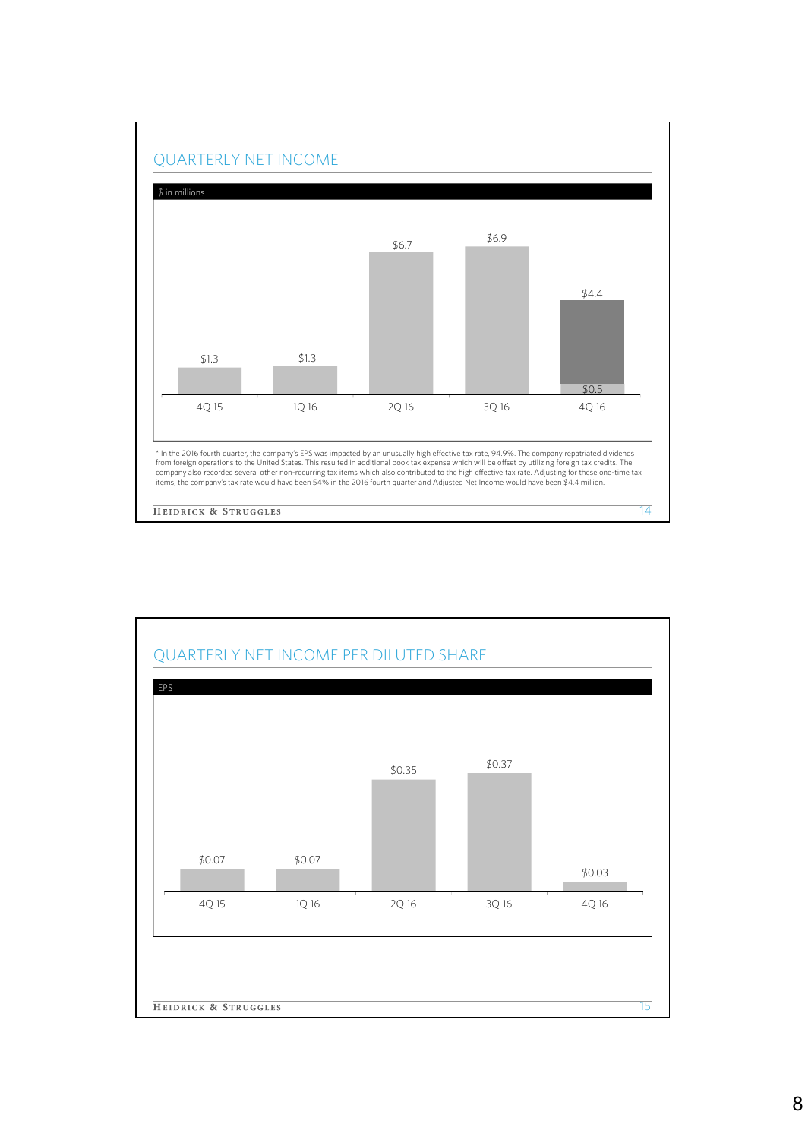

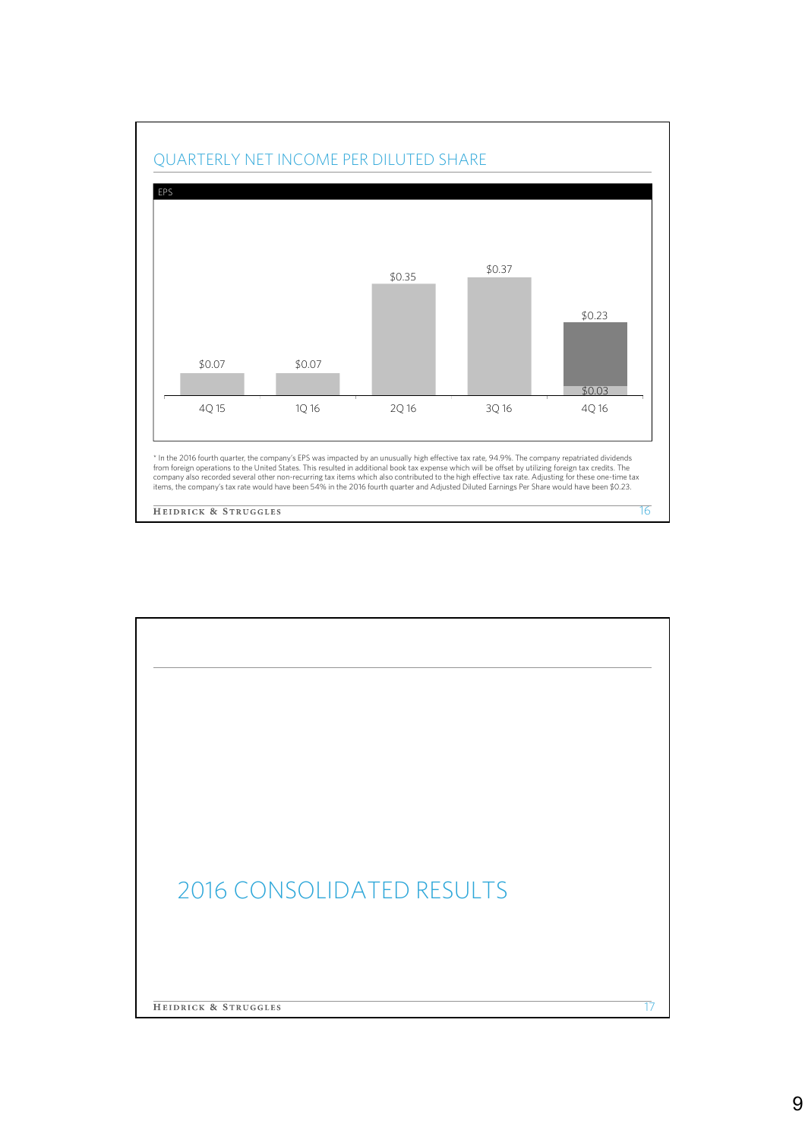

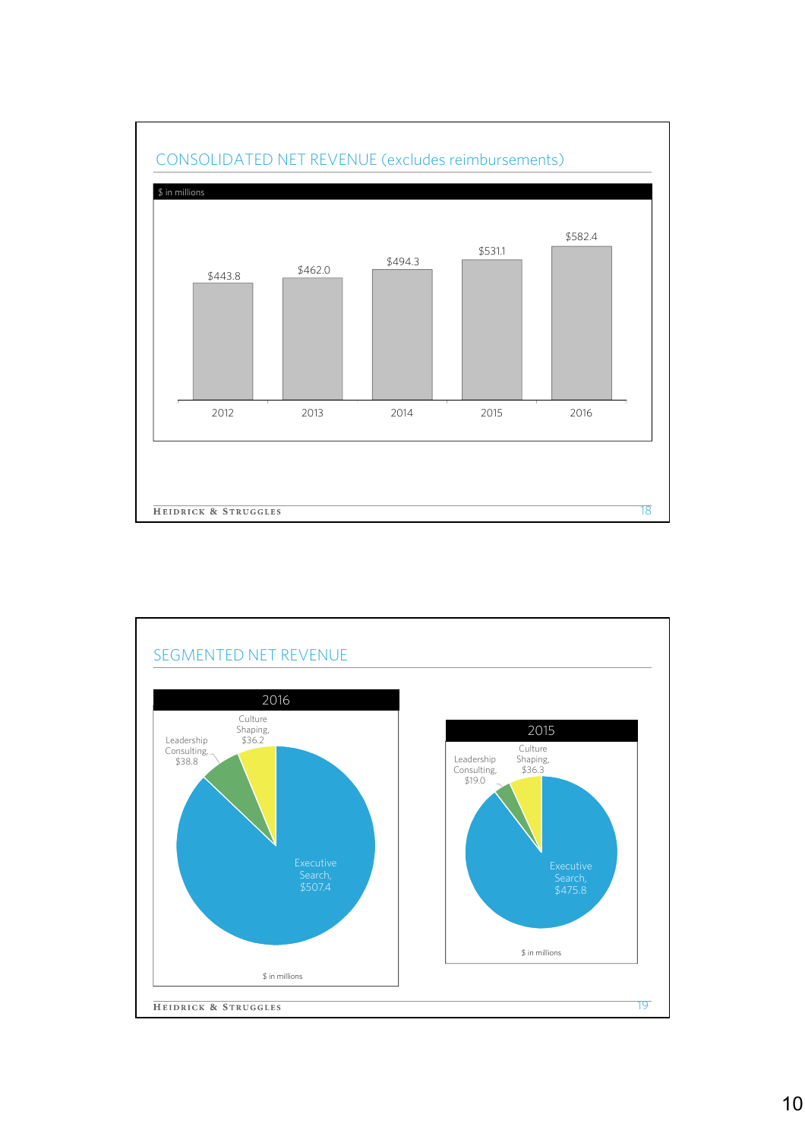

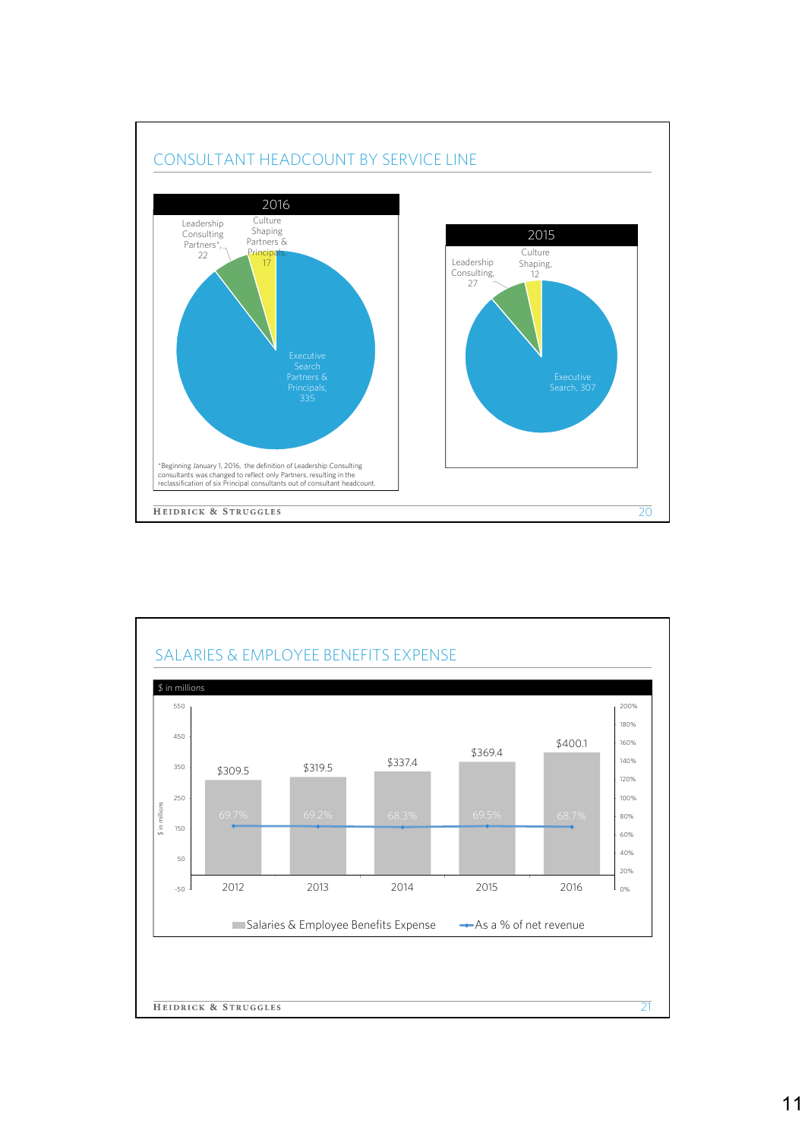

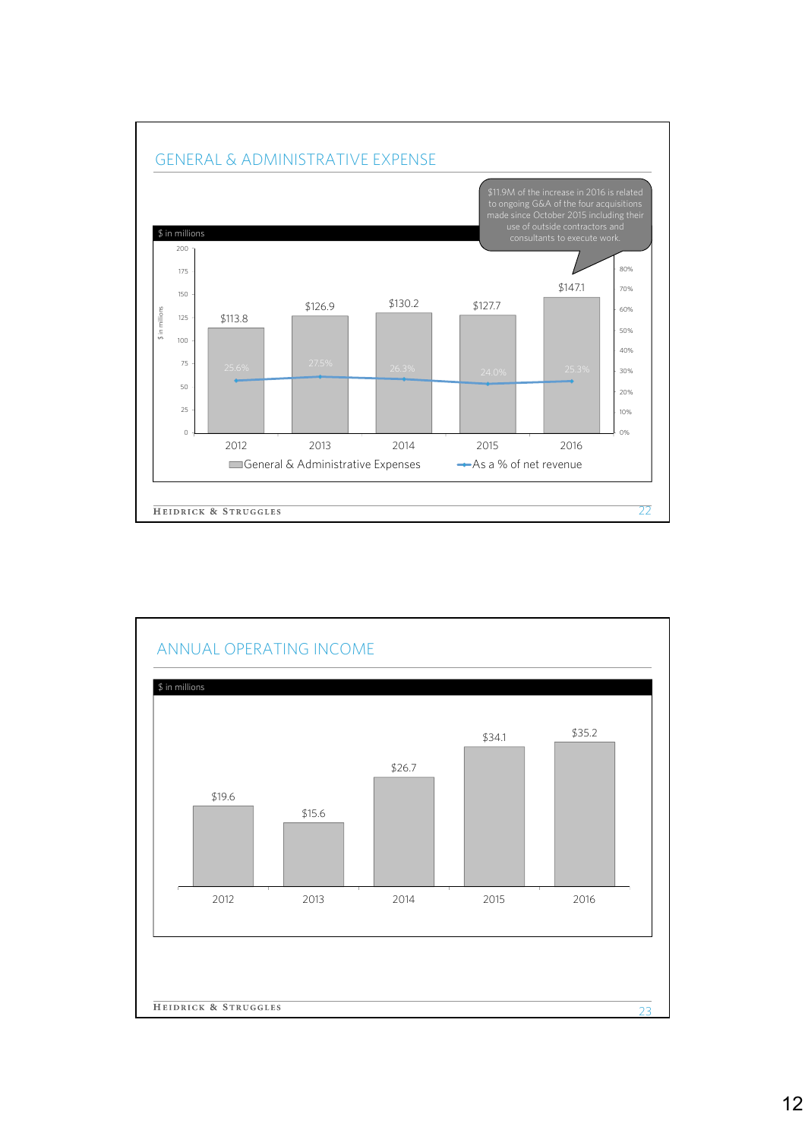

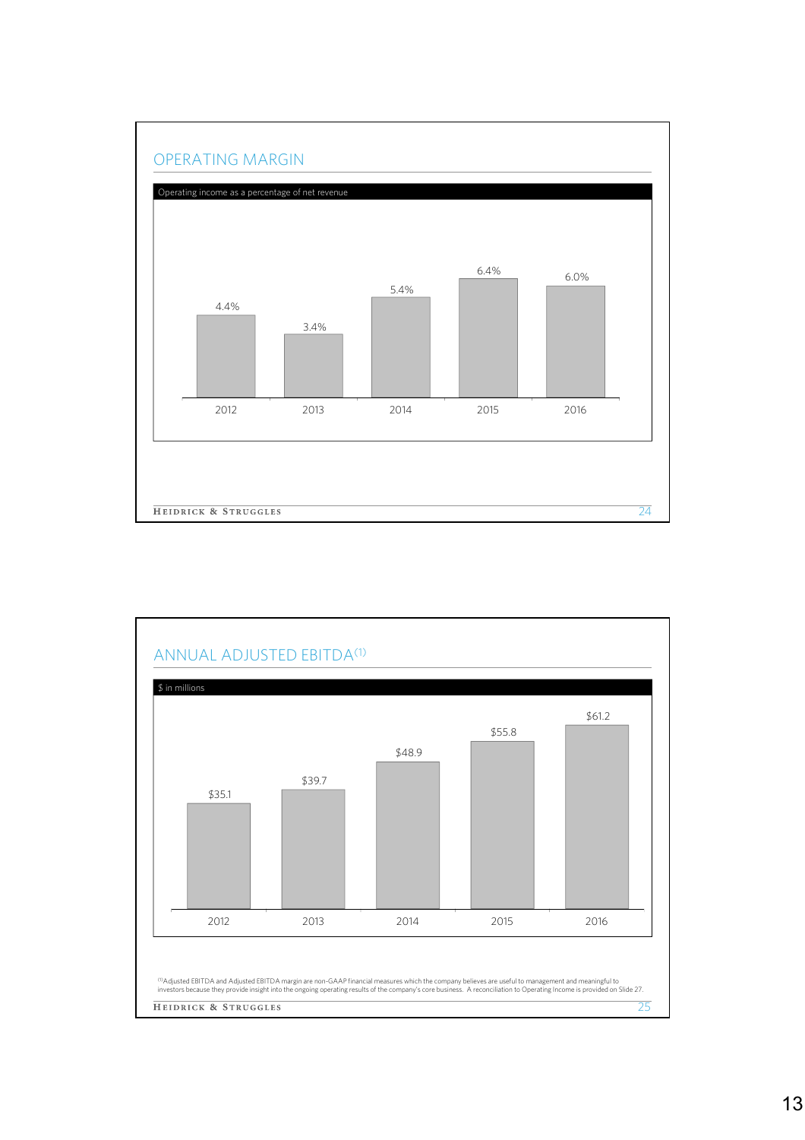

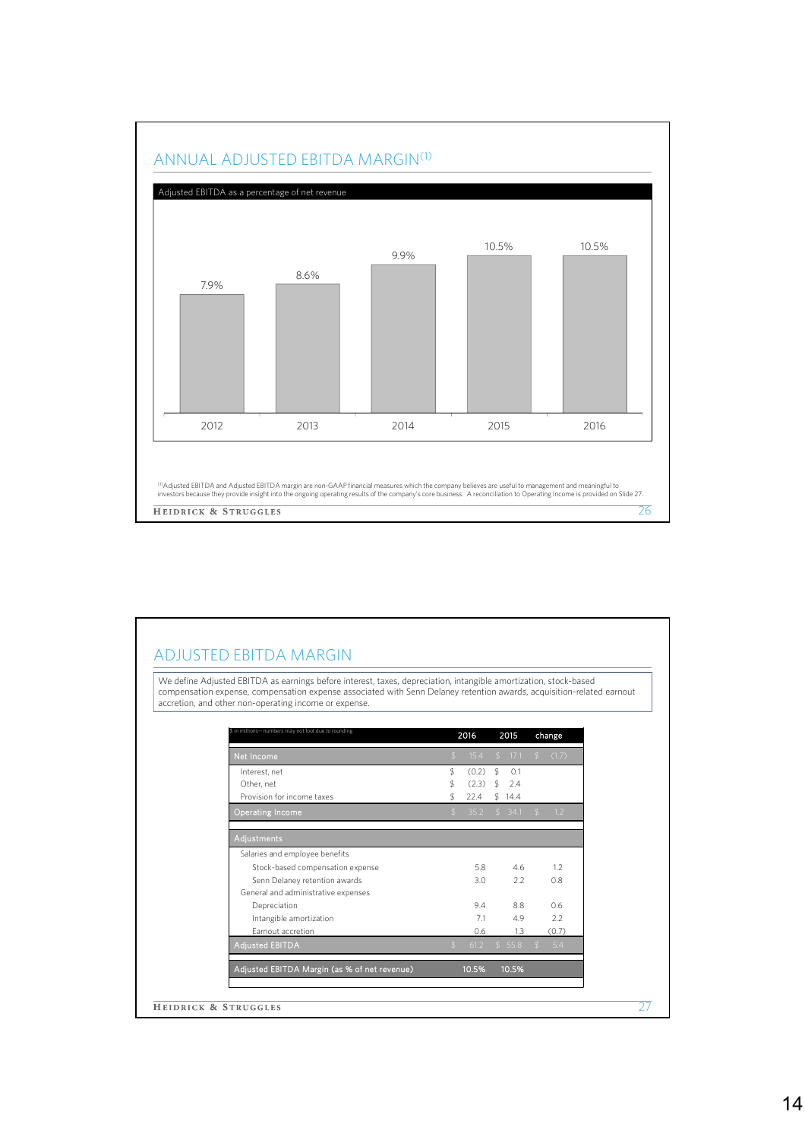

## ADJUSTED EBITDA MARGIN

We define Adjusted EBITDA as earnings before interest, taxes, depreciation, intangible amortization, stock-based compensation expense, compensation expense associated with Senn Delaney retention awards, acquisition-related earnout accretion, and other non-operating income or expense.

| Net Income,                                  | $\mathcal{L}$ | 15.4  | $\mathfrak{L}$ | 17.1   | $\mathfrak{L}$ | (1.7) |
|----------------------------------------------|---------------|-------|----------------|--------|----------------|-------|
| Interest, net                                | \$            | (0.2) | $\mathfrak{L}$ | O.1    |                |       |
| Other, net                                   | \$            | (2.3) | \$             | 2.4    |                |       |
| Provision for income taxes                   | \$            | 22.4  |                | \$14.4 |                |       |
| <b>Operating Income</b>                      | \$            | 35.2  |                | \$34.1 | $$^{\circ}$    | 1.2   |
| Adjustments                                  |               |       |                |        |                |       |
| Salaries and employee benefits               |               |       |                |        |                |       |
| Stock-based compensation expense             |               | 5.8   |                | 4.6    |                | 1.2   |
| Senn Delaney retention awards                |               | 3.0   |                | 2.2    |                | 0.8   |
| General and administrative expenses          |               |       |                |        |                |       |
| Depreciation                                 |               | 9.4   |                | 8.8    |                | 0.6   |
| Intangible amortization                      |               | 7.1   |                | 4.9    |                | 2.2   |
| Earnout accretion                            |               | 0.6   |                | 1.3    |                | (0.7) |
| <b>Adjusted EBITDA</b>                       | $\mathcal{S}$ | 61.2  |                | \$55.8 | $\mathcal{S}$  | 5.4   |
| Adjusted EBITDA Margin (as % of net revenue) |               | 10.5% |                | 10.5%  |                |       |
|                                              |               |       |                |        |                |       |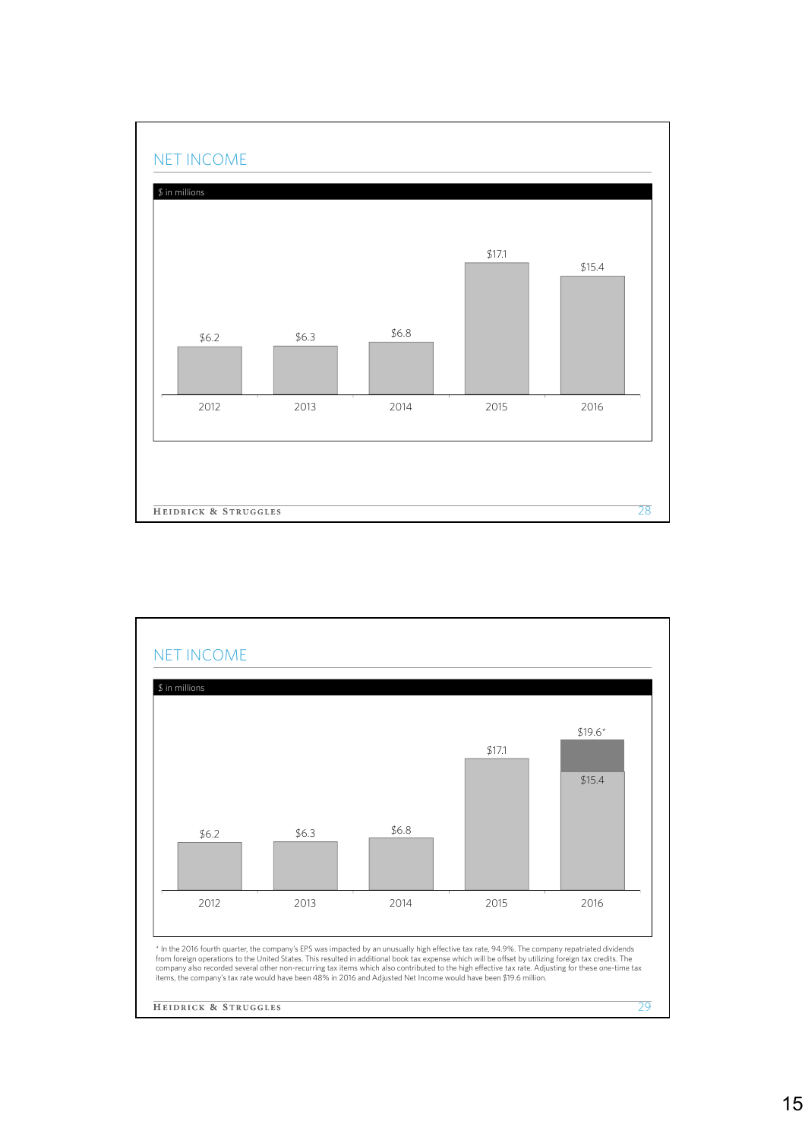

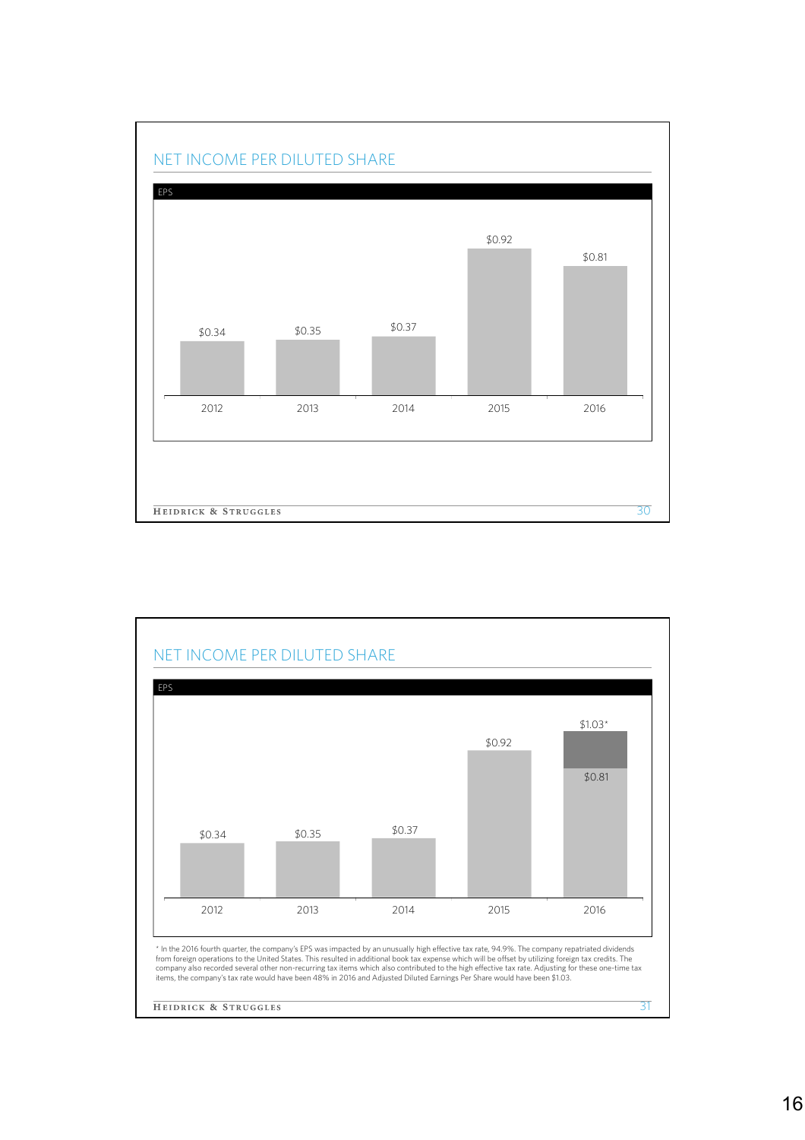

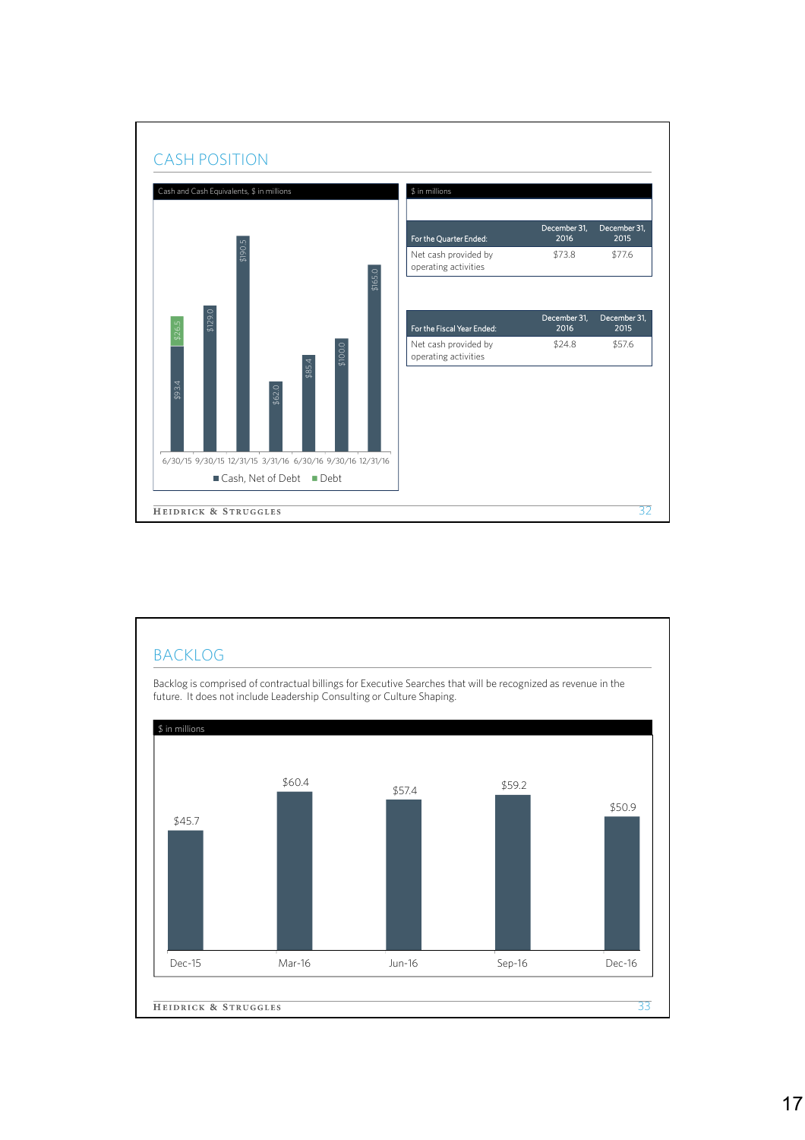

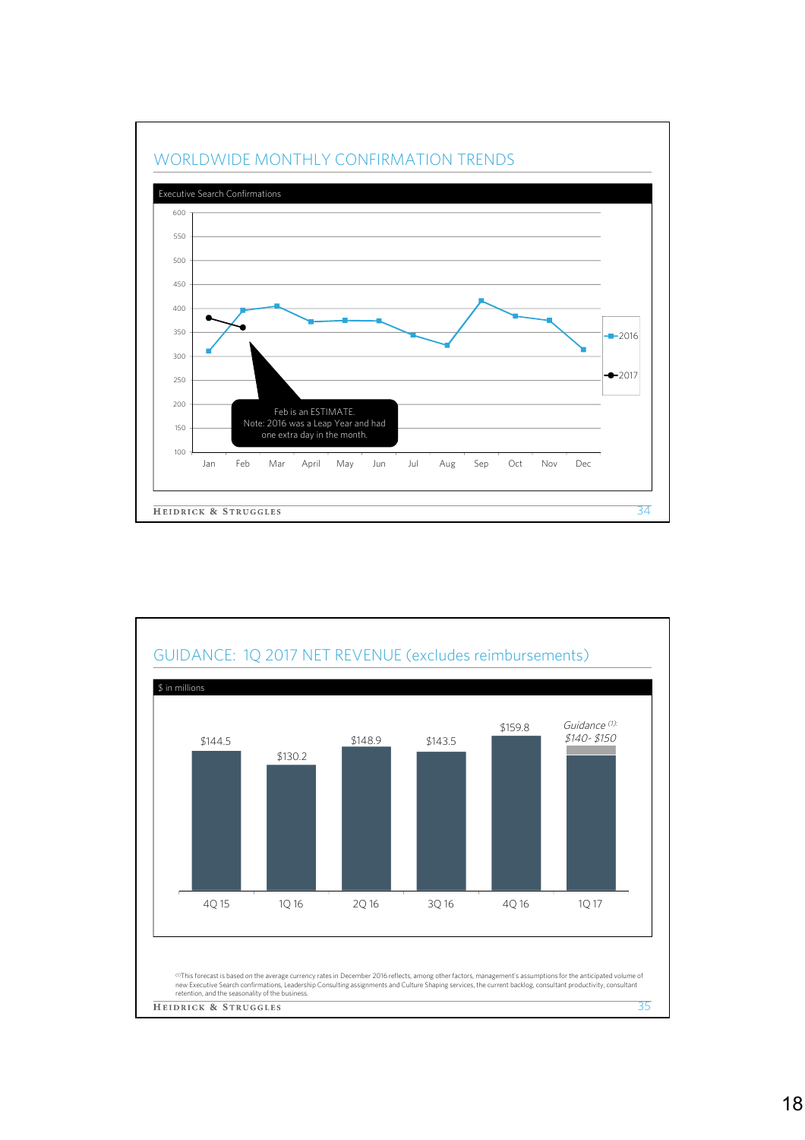

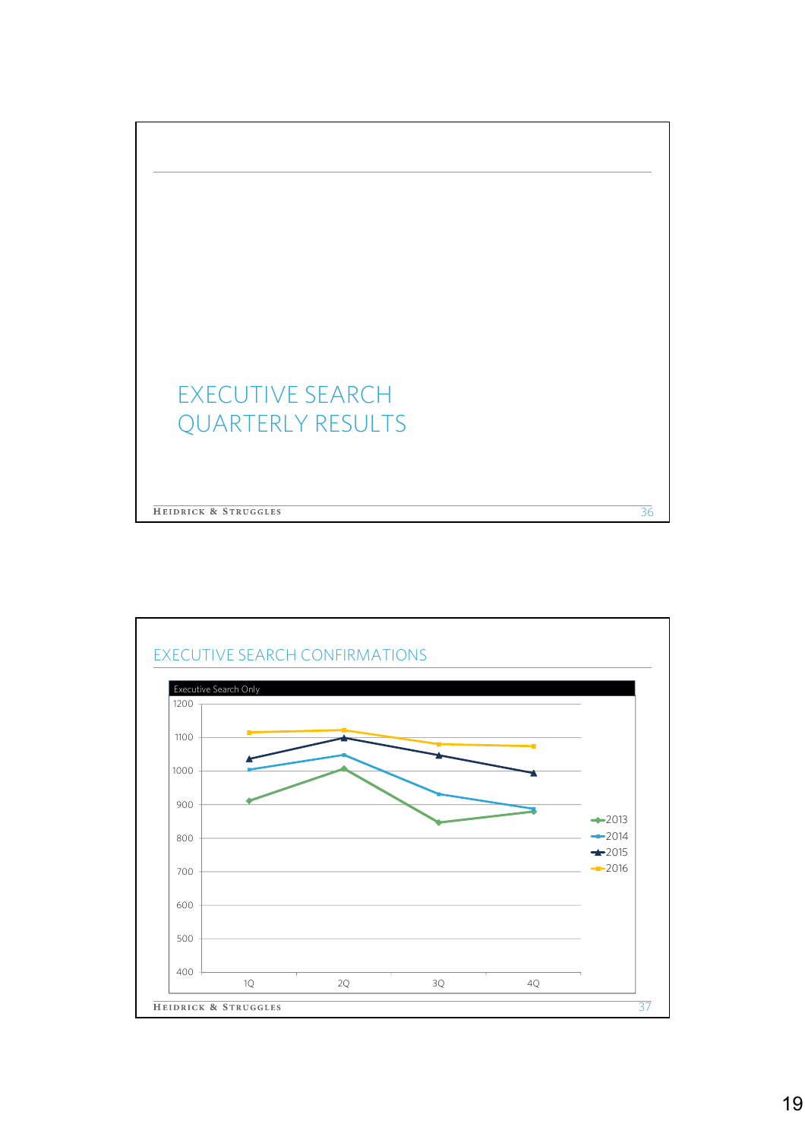

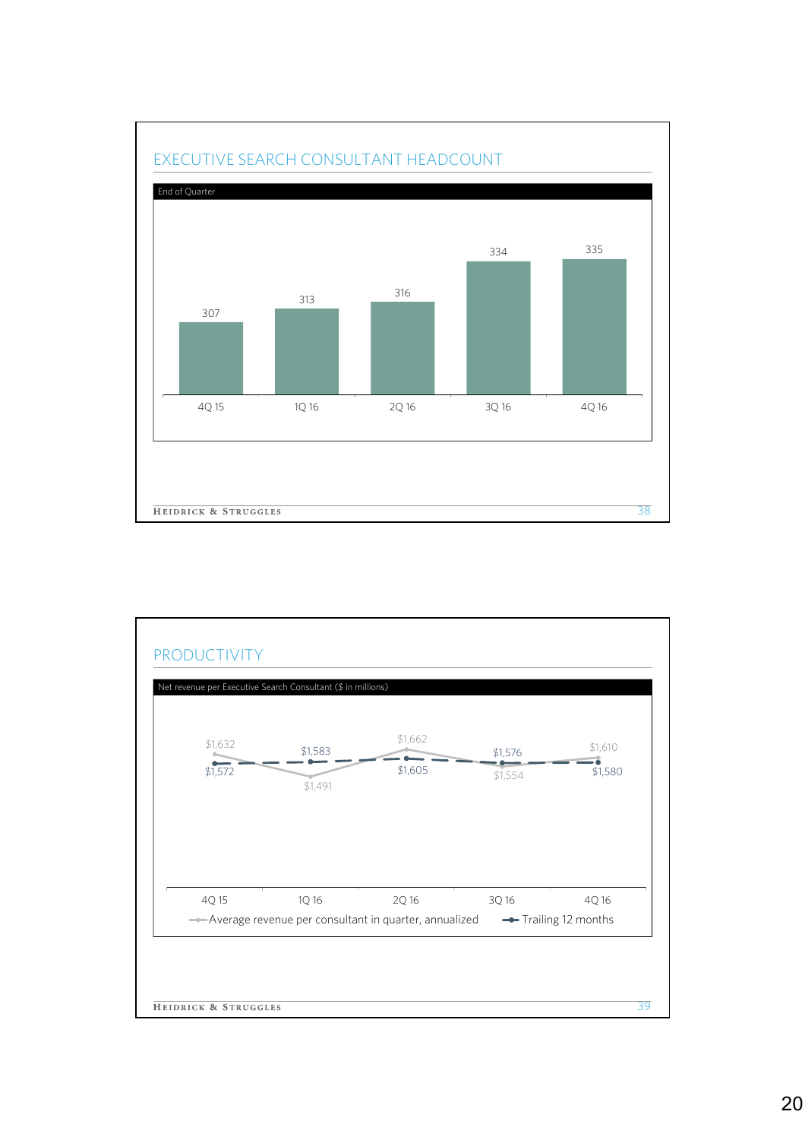

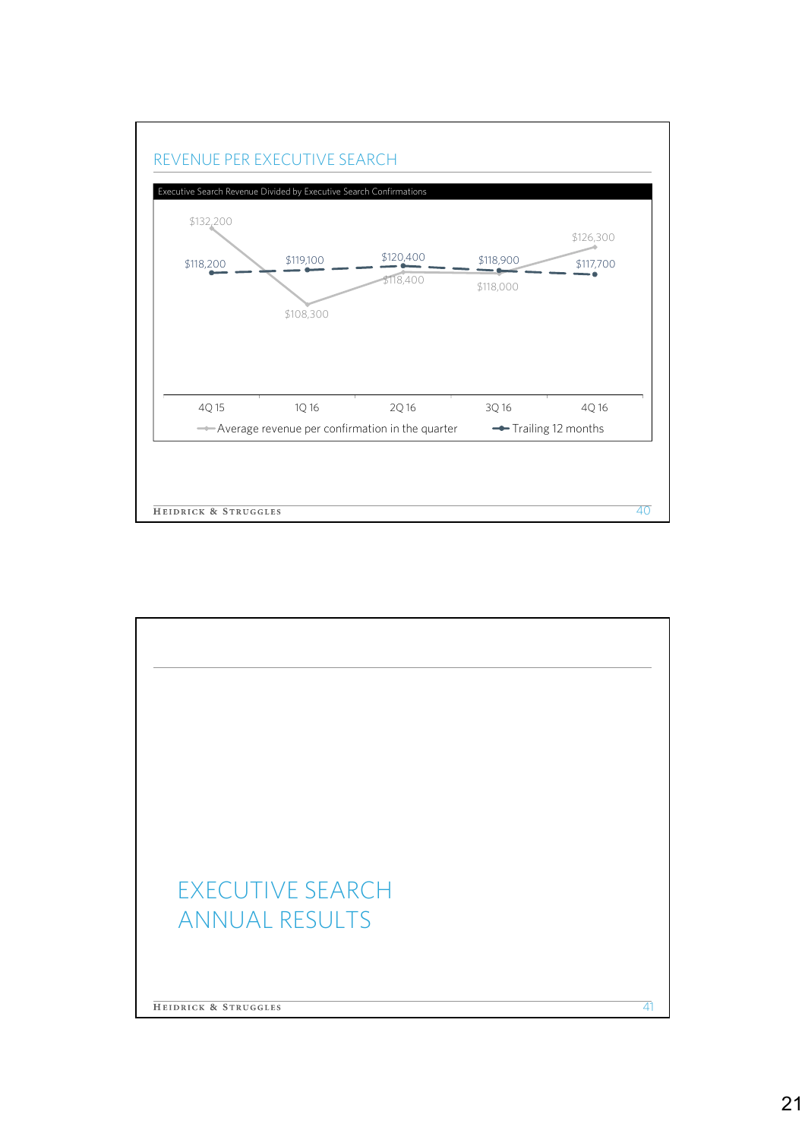

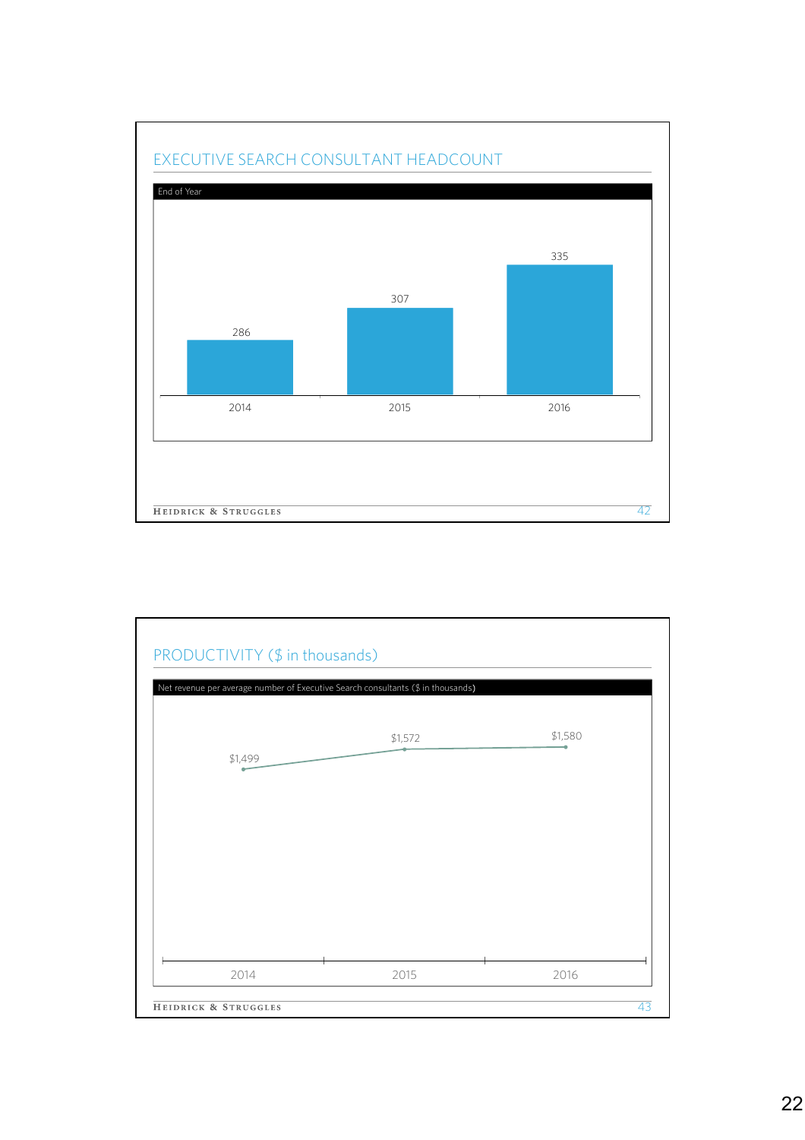

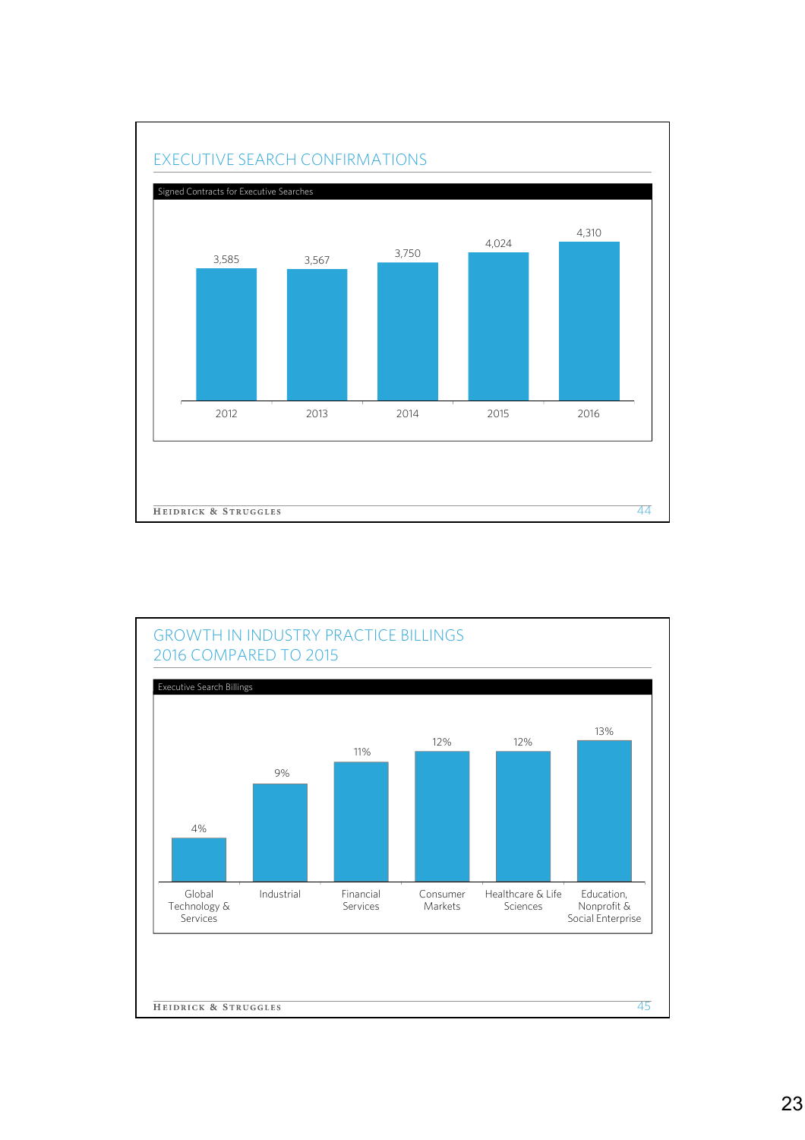

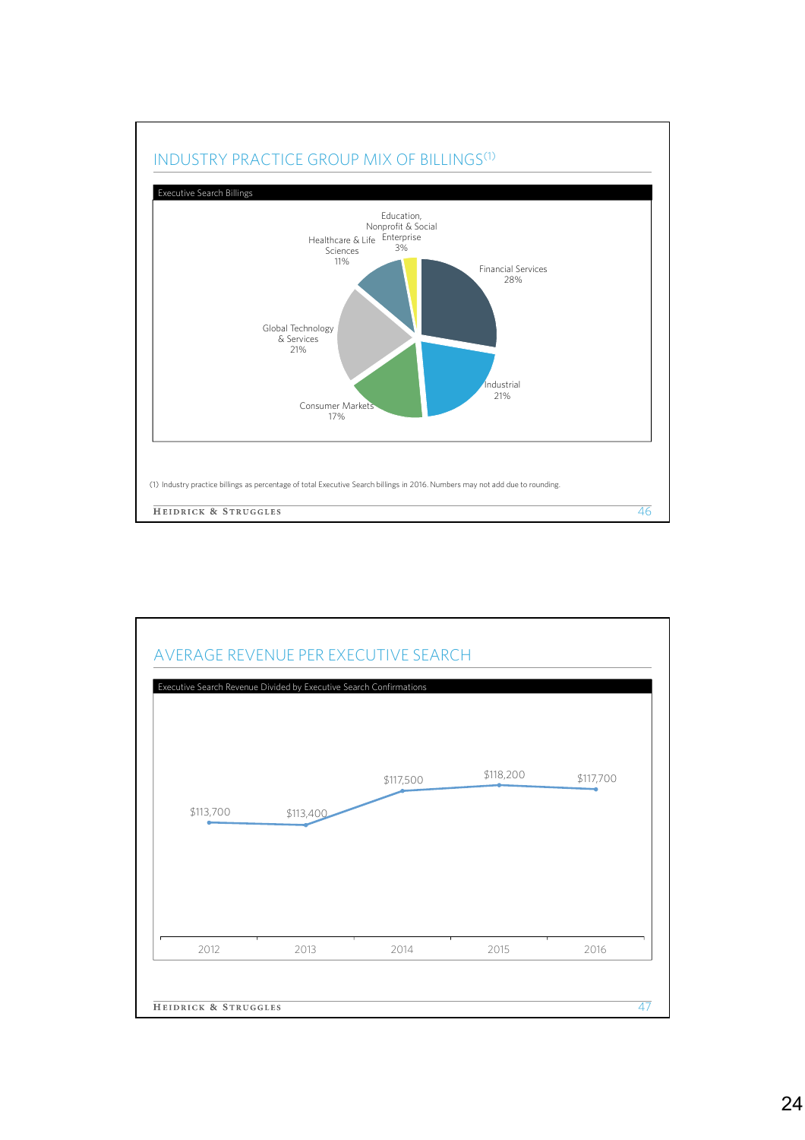